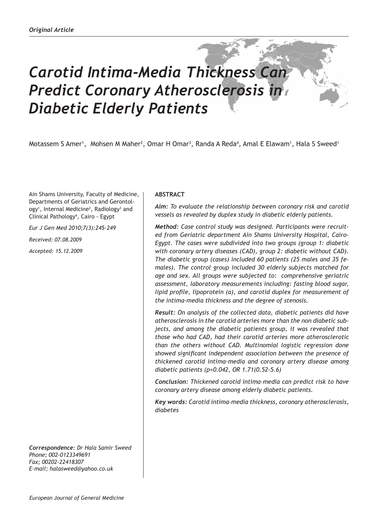# *Carotid Intima-Media Thickness Can Predict Coronary Atherosclerosis in Diabetic Elderly Patients*

Motassem S Amer<sup>1</sup>, Mohsen M Maher<sup>2</sup>, Omar H Omar<sup>3</sup>, Randa A Reda<sup>4</sup>, Amal E Elawam<sup>1</sup>, Hala S Sweed<sup>1</sup>

Ain Shams University, Faculty of Medicine, Departments of Geriatrics and Gerontology<sup>1</sup>, Internal Medicine<sup>2</sup>, Radiology<sup>3</sup> and Clinical Pathology4 , Cairo - Egypt

*Eur J Gen Med 2010;7(3):245-249*

*Received: 07.08.2009*

*Accepted: 15.12.2009*

*Correspondence: Dr Hala Samir Sweed Phone; 002-0123349691 Fax; 00202-22418307 E-mail; halasweed@yahoo.co.uk*

# **ABSTRACT**

*Aim: To evaluate the relationship between coronary risk and carotid vessels as revealed by duplex study in diabetic elderly patients.* 

*Method: Case control study was designed. Participants were recruited from Geriatric department Ain Shams University Hospital, Cairo-Egypt. The cases were subdivided into two groups (group 1: diabetic with coronary artery diseases (CAD), group 2: diabetic without CAD). The diabetic group (cases) included 60 patients (25 males and 35 females). The control group included 30 elderly subjects matched for age and sex. All groups were subjected to: comprehensive geriatric assessment, laboratory measurements including: fasting blood sugar, lipid profile, lipoprotein (a), and carotid duplex for measurement of the intima-media thickness and the degree of stenosis.* 

*Result: On analysis of the collected data, diabetic patients did have atherosclerosis in the carotid arteries more than the non diabetic subjects, and among the diabetic patients group, it was revealed that those who had CAD, had their carotid arteries more atherosclerotic than the others without CAD. Multinomial logistic regression done showed significant independent association between the presence of thickened carotid intima-media and coronary artery disease among diabetic patients (p=0.042, OR 1.71(0.52-5.6)*

*Conclusion: Thickened carotid intima-media can predict risk to have coronary artery disease among elderly diabetic patients.*

*Key words: Carotid intima-media thickness, coronary atherosclerosis, diabetes*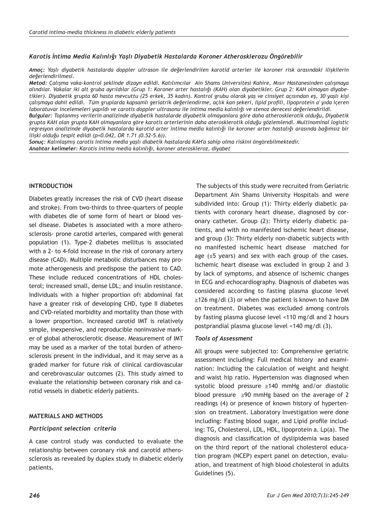## *Karotis İntima Media Kalınlığı Yaşlı Diyabetik Hastalarda Koroner Atherosklerozu Öngörebilir*

*Amaç: Yaşlı diyabetik hastalarda doppler ultrason ile değerlendirilen karotid arterler ile koroner risk arasındaki ilişkilerin değerlendirilmesi.*

*Metod: Çalışma vaka-kontrol şeklinde dizayn edildi. Katılımcılar Ain Shams Universitesi Kahire, Mısır Hastanesinden çalışmaya alındılar. Vakalar iki alt gruba ayrıldılar (Grup 1: Koroner arter hastalığı (KAH) olan diyabetikler, Grup 2: KAH olmayan diyabetikler). Diyabetik grupta 60 hasta mevcuttu (25 erkek, 35 kadın). Kontrol grubu olarak yaş ve cinsiyet açısından eş, 30 yaşlı kişi çalışmaya dahil edildi. Tüm gruplarda kapsamlı geriatrik değerlendirme, açlık kan şekeri, lipid profili, lipoprotein a' yıda içeren laboratuvar incelemeleri yapıldı ve carotis doppler ultrasonu ile intima media kalınlığı ve stenoz derecesi değerlendirildi.*

*Bulgular: Toplanmış verilerin analizinde diyabetik hastalarde diyabetik olmayanlara göre daha atherosklerotik olduğu, Diyabetik grupta KAH olan grupta KAH olmayanlara göre karotis arterlerinin daha aterosklerotik olduğu gözlemlendi. Multinominal logistic regresyon analizinde diyabetik hastalarda karotid arter intima media kalınlığı ile koroner arter hastalığı arasında bağımsız bir ilişki olduğu tespit edildi (p=0.042, OR 1.71 (0.52-5.6)).*

*Sonuç: Kalınlaşmış carotis intima media yaşlı diabetik hastalarda KAH'a sahip olma riskini öngörebilmektedir. Anahtar kelimeler: Karotis intima media kalınlığı, koroner ateroskleroz, diyabet*

### **INTRODUCTION**

Diabetes greatly increases the risk of CVD (heart disease and stroke). From two-thirds to three-quarters of people with diabetes die of some form of heart or blood vessel disease. Diabetes is associated with a more atherosclerosis- prone carotid arteries, compared with general population (1). Type-2 diabetes mellitus is associated with a 2- to 4-fold increase in the risk of coronary artery disease (CAD). Multiple metabolic disturbances may promote atherogenesis and predispose the patient to CAD. These include reduced concentrations of HDL cholesterol; increased small, dense LDL; and insulin resistance. Individuals with a higher proportion oft abdominal fat have a greater risk of developing CHD, type II diabetes and CVD-related morbidity and mortality than those with a lower proportion. Increased carotid IMT is relatively simple, inexpensive, and reproducible noninvasive marker of global atherosclerotic disease. Measurement of IMT may be used as a marker of the total burden of atherosclerosis present in the individual, and it may serve as a graded marker for future risk of clinical cardiovascular and cerebrovascular outcomes (2). This study aimed to evaluate the relationship between coronary risk and carotid vessels in diabetic elderly patients.

## **MATERIALS AND METHODS**

#### *Participant selection criteria*

A case control study was conducted to evaluate the relationship between coronary risk and carotid atherosclerosis as revealed by duplex study in diabetic elderly patients.

 The subjects of this study were recruited from Geriatric Department Ain Shams University Hospitals and were subdivided into: Group (1): Thirty elderly diabetic patients with coronary heart disease, diagnosed by coronary catheter. Group (2): Thirty elderly diabetic patients, and with no manifested ischemic heart disease, and group (3): Thirty elderly non-diabetic subjects with no manifested ischemic heart disease matched for age  $(\pm 5 \text{ years})$  and sex with each group of the cases. Ischemic heart disease was excluded in group 2 and 3 by lack of symptoms, and absence of ischemic changes in ECG and echocardiography. Diagnosis of diabetes was considered according to fasting plasma glucose level ≥126 mg/dl (3) or when the patient is known to have DM on treatment. Diabetes was excluded among controls by fasting plasma glucose level <110 mg/dl and 2 hours postprandial plasma glucose level <140 mg/dl (3).

#### *Tools of Assessment*

All groups were subjected to: Comprehensive geriatric assessment including: Full medical history and examination: Including the calculation of weight and height and waist hip ratio. Hypertension was diagnosed when systolic blood pressure ≥140 mmHg and/or diastolic blood pressure ≥90 mmHg based on the average of 2 readings (4) or presence of known history of hypertension on treatment. Laboratory Investigation were done including: Fasting blood sugar, and Lipid profile including: TG, Cholesterol, LDL, HDL, lipoprotein a. Lp(a). The diagnosis and classification of dyslipidemia was based on the third report of the national cholesterol education program (NCEP) expert panel on detection, evaluation, and treatment of high blood cholesterol in adults Guidelines (5).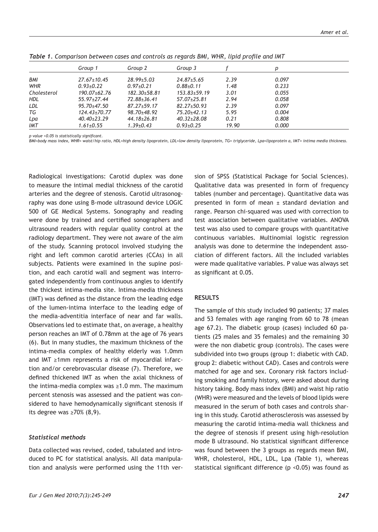|             | Group 1           | Group 2           | Group 3            |       |       |  |
|-------------|-------------------|-------------------|--------------------|-------|-------|--|
| <b>BMI</b>  | $27.67 \pm 10.45$ | $28.99 \pm 5.03$  | $24.87 \pm 5.65$   | 2.39  | 0.097 |  |
| <b>WHR</b>  | $0.93 + 0.22$     | $0.97 + 0.21$     | $0.88 + 0.11$      | 1.48  | 0.233 |  |
| Cholesterol | 190.07±62.76      | 182.30±58.81      | $153.83 \pm 59.19$ | 3.01  | 0.055 |  |
| <b>HDL</b>  | $55.97 + 27.44$   | 72.88±36.41       | $57.07 + 25.81$    | 2.94  | 0.058 |  |
| LDL         | $95.70 \pm 47.50$ | $87.27 \pm 59.17$ | $82.27 + 50.93$    | 2.39  | 0.097 |  |
| TG          | 124.43±70.77      | 98.70±48.92       | 75.20±42.13        | 5.95  | 0.004 |  |
| Lpa         | $40.40 \pm 23.29$ | $44.18 \pm 26.81$ | $40.32 \pm 28.08$  | 0.21  | 0.808 |  |
| <b>IMT</b>  | $1.61 \pm 0.55$   | $1.39{\pm}0.43$   | $0.93 \pm 0.25$    | 19.90 | 0.000 |  |

*Table 1. Comparison between cases and controls as regards BMI, WHR, lipid profile and IMT*

*p value <0.05 is statistically significant.*

*BMI=body mass index, WHR= waist/hip ratio, HDL=high density lipoprotein, LDL=low density lipoprotein, TG= triglyceride, Lpa=lipoprotein a, IMT= intima media thickness.*

Radiological investigations: Carotid duplex was done to measure the intimal medial thickness of the carotid arteries and the degree of stenosis. Carotid ultrasonography was done using B-mode ultrasound device LOGIC 500 of GE Medical Systems. Sonography and reading were done by trained and certified sonographers and ultrasound readers with regular quality control at the radiology department. They were not aware of the aim of the study. Scanning protocol involved studying the right and left common carotid arteries (CCAs) in all subjects. Patients were examined in the supine position, and each carotid wall and segment was interrogated independently from continuous angles to identify the thickest intima-media site. Intima-media thickness (IMT) was defined as the distance from the leading edge of the lumen-intima interface to the leading edge of the media-adventitia interface of near and far walls. Observations led to estimate that, on average, a healthy person reaches an IMT of 0.78mm at the age of 76 years (6). But in many studies, the maximum thickness of the intima-media complex of healthy elderly was 1.0mm and IMT ≥1mm represents a risk of myocardial infarction and/or cerebrovascular disease (7). Therefore, we defined thickened IMT as when the axial thickness of the intima-media complex was ≥1.0 mm. The maximum percent stenosis was assessed and the patient was considered to have hemodynamically significant stenosis if its degree was ≥70% (8,9).

## *Statistical methods*

Data collected was revised, coded, tabulated and introduced to PC for statistical analysis. All data manipulation and analysis were performed using the 11th version of SPSS (Statistical Package for Social Sciences). Qualitative data was presented in form of frequency tables (number and percentage). Quantitative data was presented in form of mean ± standard deviation and range. Pearson chi-squared was used with correction to test association between qualitative variables. ANOVA test was also used to compare groups with quantitative continuous variables. Multinomial logistic regression analysis was done to determine the independent association of different factors. All the included variables were made qualitative variables. P value was always set as significant at 0.05.

## **RESULTS**

The sample of this study included 90 patients; 37 males and 53 females with age ranging from 60 to 78 (mean age 67.2). The diabetic group (cases) included 60 patients (25 males and 35 females) and the remaining 30 were the non diabetic group (controls). The cases were subdivided into two groups (group 1: diabetic with CAD. group 2: diabetic without CAD). Cases and controls were matched for age and sex. Coronary risk factors including smoking and family history, were asked about during history taking. Body mass index (BMI) and waist hip ratio (WHR) were measured and the levels of blood lipids were measured in the serum of both cases and controls sharing in this study. Carotid atherosclerosis was assessed by measuring the carotid intima-media wall thickness and the degree of stenosis if present using high-resolution mode B ultrasound. No statistical significant difference was found between the 3 groups as regards mean BMI, WHR, cholesterol, HDL, LDL, Lpa (Table 1), whereas statistical significant difference (p <0.05) was found as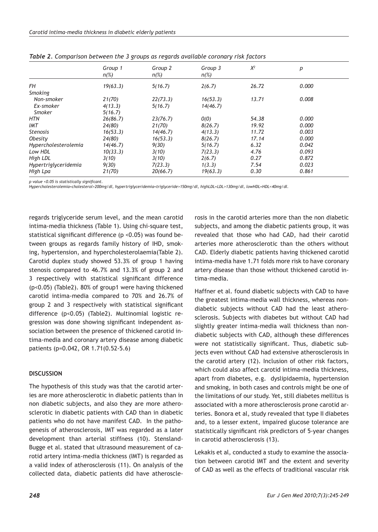|                      | Group 1<br>$n(\%)$ | Group 2<br>$n(\%)$ | Group 3<br>$n(\%)$ | $X^2$ | p     |
|----------------------|--------------------|--------------------|--------------------|-------|-------|
| FН                   | 19(63.3)           | 5(16.7)            | 2(6.7)             | 26.72 | 0.000 |
| Smoking              |                    |                    |                    |       |       |
| Non-smoker           | 21(70)             | 22(73.3)           | 16(53.3)           | 13.71 | 0.008 |
| Ex-smoker            | 4(13.3)            | 5(16.7)            | 14(46.7)           |       |       |
| Smoker               | 5(16.7)            |                    |                    |       |       |
| HTN                  | 26(86.7)           | 23(76.7)           | O(0)               | 54.38 | 0.000 |
| <b>IMT</b>           | 24(80)             | 21(70)             | 8(26.7)            | 19.92 | 0.000 |
| <b>Stenosis</b>      | 16(53.3)           | 14(46.7)           | 4(13.3)            | 11.72 | 0.003 |
| Obesity              | 24(80)             | 16(53.3)           | 8(26.7)            | 17.14 | 0.000 |
| Hypercholesterolemia | 14(46.7)           | 9(30)              | 5(16.7)            | 6.32  | 0.042 |
| Low HDL              | 10(33.3)           | 3(10)              | 7(23.3)            | 4.76  | 0.093 |
| High LDL             | 3(10)              | 3(10)              | 2(6.7)             | 0.27  | 0.872 |
| Hypertriglyceridemia | 9(30)              | 7(23.3)            | 1(3.3)             | 7.54  | 0.023 |
| High Lpa             | 21(70)             | 20(66.7)           | 19(63.3)           | 0.30  | 0.861 |

| Table 2. Comparison between the 3 groups as regards available coronary risk factors |  |  |  |
|-------------------------------------------------------------------------------------|--|--|--|
|-------------------------------------------------------------------------------------|--|--|--|

*p value <0.05 is statistically significant.*

*Hypercholesterolemia=cholesterol>200mg/dl, hypertriglyceridemia=triglyceride>150mg/dl, highLDL=LDL>130mg/dl, lowHDL=HDL<40mg/dl.*

regards triglyceride serum level, and the mean carotid intima-media thickness (Table 1). Using chi-square test, statistical significant difference (p <0.05) was found between groups as regards family history of IHD, smoking, hypertension, and hypercholesterolaemia(Table 2). Carotid duplex study showed 53.3% of group 1 having stenosis compared to 46.7% and 13.3% of group 2 and 3 respectively with statistical significant difference (p<0.05) (Table2). 80% of group1 were having thickened carotid intima-media compared to 70% and 26.7% of group 2 and 3 respectively with statistical significant difference (p<0.05) (Table2). Multinomial logistic regression was done showing significant independent association between the presence of thickened carotid intima-media and coronary artery disease among diabetic patients (p=0.042, OR 1.71(0.52-5.6)

#### **DISCUSSION**

The hypothesis of this study was that the carotid arteries are more atherosclerotic in diabetic patients than in non diabetic subjects, and also they are more atherosclerotic in diabetic patients with CAD than in diabetic patients who do not have manifest CAD. In the pathogenesis of atherosclerosis, IMT was regarded as a later development than arterial stiffness (10). Stensland-Bugge et al. stated that ultrasound measurement of carotid artery intima-media thickness (IMT) is regarded as a valid index of atherosclerosis (11). On analysis of the collected data, diabetic patients did have atheroscle-

rosis in the carotid arteries more than the non diabetic subjects, and among the diabetic patients group, it was revealed that those who had CAD, had their carotid arteries more atherosclerotic than the others without CAD. Elderly diabetic patients having thickened carotid intima-media have 1.71 folds more risk to have coronary artery disease than those without thickened carotid intima-media.

Haffner et al. found diabetic subjects with CAD to have the greatest intima-media wall thickness, whereas nondiabetic subjects without CAD had the least atherosclerosis. Subjects with diabetes but without CAD had slightly greater intima-media wall thickness than nondiabetic subjects with CAD, although these differences were not statistically significant. Thus, diabetic subjects even without CAD had extensive atherosclerosis in the carotid artery (12). Inclusion of other risk factors, which could also affect carotid intima-media thickness, apart from diabetes, e.g. dyslipidaemia, hypertension and smoking, in both cases and controls might be one of the limitations of our study. Yet, still diabetes mellitus is associated with a more atherosclerosis prone carotid arteries. Bonora et al, study revealed that type II diabetes and, to a lesser extent, impaired glucose tolerance are statistically significant risk predictors of 5-year changes in carotid atherosclerosis (13).

Lekakis et al, conducted a study to examine the association between carotid IMT and the extent and severity of CAD as well as the effects of traditional vascular risk